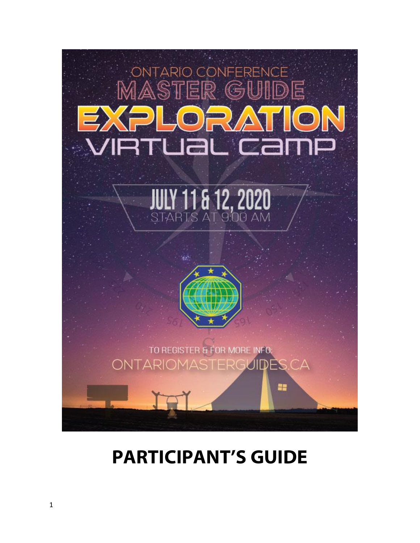

# **PARTICIPANT'S GUIDE**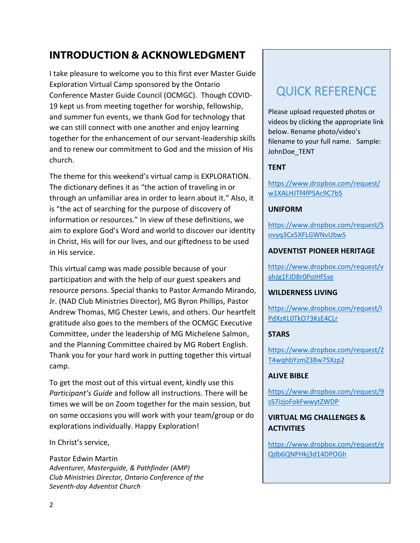# **INTRODUCTION & ACKNOWLEDGMENT**

I take pleasure to welcome you to this first ever Master Guide Exploration Virtual Camp sponsored by the Ontario Conference Master Guide Council (OCMGC). Though COVID-19 kept us from meeting together for worship, fellowship, and summer fun events, we thank God for technology that we can still connect with one another and enjoy learning together for the enhancement of our servant-leadership skills and to renew our commitment to God and the mission of His church.

The theme for this weekend's virtual camp is EXPLORATION. The dictionary defines it as "the action of traveling in or through an unfamiliar area in order to learn about it." Also, it is "the act of searching for the purpose of discovery of information or resources." In view of these definitions, we aim to explore God's Word and world to discover our identity in Christ, His will for our lives, and our giftedness to be used in His service.

This virtual camp was made possible because of your participation and with the help of our guest speakers and resource persons. Special thanks to Pastor Armando Mirando, Jr. (NAD Club Ministries Director), MG Byron Phillips, Pastor Andrew Thomas, MG Chester Lewis, and others. Our heartfelt gratitude also goes to the members of the OCMGC Executive Committee, under the leadership of MG Michelene Salmon, and the Planning Committee chaired by MG Robert English. Thank you for your hard work in putting together this virtual camp.

To get the most out of this virtual event, kindly use this *Participant's Guide* and follow all instructions. There will be times we will be on Zoom together for the main session, but on some occasions you will work with your team/group or do explorations individually. Happy Exploration!

In Christ's service,

Pastor Edwin Martin *Adventurer, Masterguide, & Pathfinder (AMP) Club Ministries Director, Ontario Conference of the Seventh-day Adventist Church*

# QUICK REFERENCE

Please upload requested photos or videos by clicking the appropriate link below. Rename photo/video's filename to your full name. Sample: JohnDoe\_TENT

# **TENT**

[https://www.dropbox.com/request/](https://www.dropbox.com/request/w1XALHJTf4fPSAc9C7b5) [w1XALHJTf4fPSAc9C7b5](https://www.dropbox.com/request/w1XALHJTf4fPSAc9C7b5) 

# **UNIFORM**

[https://www.dropbox.com/request/S](https://www.dropbox.com/request/Sovyq3Cx5XFLGWNvUbwS) [ovyq3Cx5XFLGWNvUbwS](https://www.dropbox.com/request/Sovyq3Cx5XFLGWNvUbwS) 

# **ADVENTIST PIONEER HERITAGE**

[https://www.dropbox.com/request/v](https://www.dropbox.com/request/vahJg1FJD8r0PoIHf5se) [ahJg1FJD8r0PoIHf5se](https://www.dropbox.com/request/vahJg1FJD8r0PoIHf5se) 

# **WILDERNESS LIVING**

[https://www.dropbox.com/request/I](https://www.dropbox.com/request/IPdXzKL0TkO73KsE4CLr) [PdXzKL0TkO73KsE4CLr](https://www.dropbox.com/request/IPdXzKL0TkO73KsE4CLr) 

# **STARS**

[https://www.dropbox.com/request/2](https://www.dropbox.com/request/2T4wqhbYzmZ38w75Xzp2) [T4wqhbYzmZ38w75Xzp2](https://www.dropbox.com/request/2T4wqhbYzmZ38w75Xzp2) 

# **ALIVE BIBLE**

[https://www.dropbox.com/request/9](https://www.dropbox.com/request/9sS7izjoFokFwwytZWDP) [sS7izjoFokFwwytZWDP](https://www.dropbox.com/request/9sS7izjoFokFwwytZWDP) 

# **VIRTUAL MG CHALLENGES & ACTIVITIES**

[https://www.dropbox.com/request/e](https://www.dropbox.com/request/eQdb6QNPHkj3d14DPOGh) [Qdb6QNPHkj3d14DPOGh](https://www.dropbox.com/request/eQdb6QNPHkj3d14DPOGh)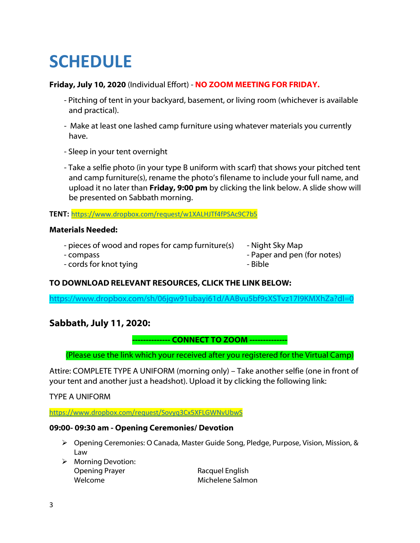# **SCHEDULE**

# **Friday, July 10, 2020** (Individual Effort) - **NO ZOOM MEETING FOR FRIDAY.**

- Pitching of tent in your backyard, basement, or living room (whichever is available and practical).
- Make at least one lashed camp furniture using whatever materials you currently have.
- Sleep in your tent overnight
- Take a selfie photo (in your type B uniform with scarf) that shows your pitched tent and camp furniture(s), rename the photo's filename to include your full name, and upload it no later than **Friday, 9:00 pm** by clicking the link below. A slide show will be presented on Sabbath morning.

**TENT:** <https://www.dropbox.com/request/w1XALHJTf4fPSAc9C7b5>

# **Materials Needed:**

- pieces of wood and ropes for camp furniture(s) Night Sky Map
- 
- 
- compass  $\sim$  Paper and pen (for notes)
- cords for knot tying  $\overline{\phantom{a}}$  Bible

# **TO DOWNLOAD RELEVANT RESOURCES, CLICK THE LINK BELOW:**

<https://www.dropbox.com/sh/06jgw91ubayi61d/AABvu5bf9sXSTvz17I9KMXhZa?dl=0>

# **Sabbath, July 11, 2020:**

**-------------- CONNECT TO ZOOM --------------** 

(Please use the link which your received after you registered for the Virtual Camp)

Attire: COMPLETE TYPE A UNIFORM (morning only) – Take another selfie (one in front of your tent and another just a headshot). Upload it by clicking the following link:

# TYPE A UNIFORM

<https://www.dropbox.com/request/Sovyq3Cx5XFLGWNvUbwS>

# **09:00- 09:30 am - Opening Ceremonies/ Devotion**

- Opening Ceremonies: O Canada, Master Guide Song, Pledge, Purpose, Vision, Mission, & Law
- $\triangleright$  Morning Devotion: Opening Prayer **Racquel English** Welcome Michelene Salmon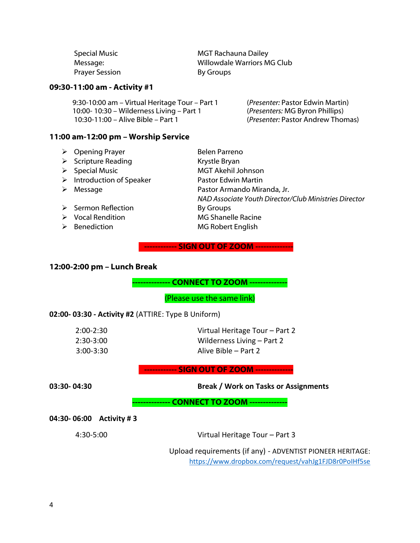| <b>Special Music</b>  | <b>MGT Rachauna Dailey</b>  |
|-----------------------|-----------------------------|
| Message:              | Willowdale Warriors MG Club |
| <b>Prayer Session</b> | By Groups                   |

#### **09:30-11:00 am - Activity #1**

| 9:30-10:00 am - Virtual Heritage Tour - Part 1 | ( <i>Presenter:</i> Pastor Edwin Martin) |
|------------------------------------------------|------------------------------------------|
| 10:00-10:30 - Wilderness Living - Part 1       | (Presenters: MG Byron Phillips)          |
| 10:30-11:00 – Alive Bible – Part 1             | (Presenter: Pastor Andrew Thomas)        |

#### **11:00 am-12:00 pm – Worship Service**

- ▶ Opening Prayer Belen Parreno
- > Scripture Reading Krystle Bryan
- 
- > Introduction of Speaker Pastor Edwin Martin
- 
- > Sermon Reflection By Groups
- 
- 
- ▶ Special Music MGT Akehil Johnson Message Pastor Armando Miranda, Jr. *NAD Associate Youth Director/Club Ministries Director*  ▶ Vocal Rendition MG Shanelle Racine ▶ Benediction MG Robert English

#### **-------------- SIGN OUT OF ZOOM --------------**

#### **12:00-2:00 pm – Lunch Break**

**-------------- CONNECT TO ZOOM --------------** 

(Please use the same link)

#### **02:00- 03:30 - Activity #2** (ATTIRE: Type B Uniform)

| $2:00 - 2:30$ | Virtual Heritage Tour – Part 2 |
|---------------|--------------------------------|
| $2:30-3:00$   | Wilderness Living – Part 2     |
| $3:00 - 3:30$ | Alive Bible – Part 2           |

**-------------- SIGN OUT OF ZOOM --------------**

**03:30- 04:30 Break / Work on Tasks or Assignments**

#### **-------------- CONNECT TO ZOOM --------------**

**04:30- 06:00 Activity # 3**

4:30-5:00 Virtual Heritage Tour – Part 3

Upload requirements (if any) - ADVENTIST PIONEER HERITAGE: <https://www.dropbox.com/request/vahJg1FJD8r0PoIHf5se>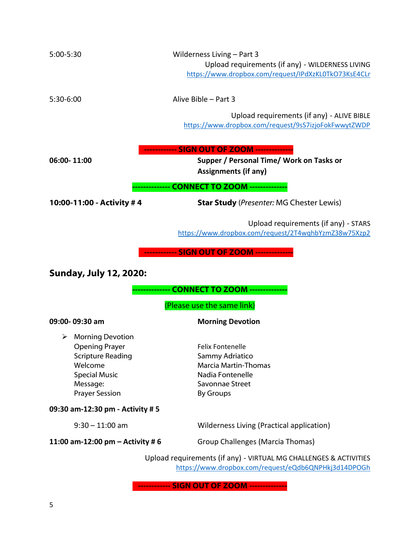| 5:00-5:30                                                                                                                                                 | Wilderness Living - Part 3<br>Upload requirements (if any) - WILDERNESS LIVING<br>https://www.dropbox.com/request/IPdXzKL0TkO73KsE4CLr |
|-----------------------------------------------------------------------------------------------------------------------------------------------------------|----------------------------------------------------------------------------------------------------------------------------------------|
| 5:30-6:00                                                                                                                                                 | Alive Bible - Part 3                                                                                                                   |
|                                                                                                                                                           | Upload requirements (if any) - ALIVE BIBLE<br>https://www.dropbox.com/request/9sS7izjoFokFwwytZWDP                                     |
| 06:00-11:00                                                                                                                                               | Supper / Personal Time/ Work on Tasks or<br><b>Assignments (if any)</b>                                                                |
|                                                                                                                                                           | <b>CONNECT TO ZOOM ----------</b>                                                                                                      |
| 10:00-11:00 - Activity #4                                                                                                                                 | <b>Star Study</b> (Presenter: MG Chester Lewis)                                                                                        |
|                                                                                                                                                           | Upload requirements (if any) - STARS<br>https://www.dropbox.com/request/2T4wqhbYzmZ38w75Xzp2                                           |
| <b>Sunday, July 12, 2020:</b>                                                                                                                             | <b>CONNECT TO ZOOM -------</b><br>(Please use the same link)                                                                           |
| 09:00-09:30 am                                                                                                                                            | <b>Morning Devotion</b>                                                                                                                |
| <b>Morning Devotion</b><br>➤<br><b>Opening Prayer</b><br><b>Scripture Reading</b><br>Welcome<br><b>Special Music</b><br>Message:<br><b>Prayer Session</b> | <b>Felix Fontenelle</b><br>Sammy Adriatico<br><b>Marcia Martin-Thomas</b><br>Nadia Fontenelle<br>Savonnae Street<br><b>By Groups</b>   |
| 09:30 am-12:30 pm - Activity # 5                                                                                                                          |                                                                                                                                        |
| $9:30 - 11:00$ am                                                                                                                                         | Wilderness Living (Practical application)                                                                                              |
| 11:00 am-12:00 pm $-$ Activity #6                                                                                                                         | Group Challenges (Marcia Thomas)                                                                                                       |
|                                                                                                                                                           | Upload requirements (if any) - VIRTUAL MG CHALLENGES & ACTIVITIES<br>https://www.dropbox.com/request/eQdb6QNPHkj3d14DPOGh              |
|                                                                                                                                                           | ------------ SIGN OUT OF ZOOM --------------                                                                                           |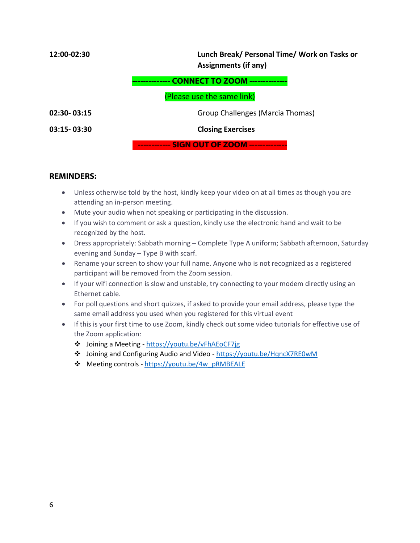| 12:00-02:30     | Lunch Break/ Personal Time/ Work on Tasks or<br><b>Assignments (if any)</b> |
|-----------------|-----------------------------------------------------------------------------|
|                 | <b>CONNECT TO ZOOM</b>                                                      |
|                 | (Please use the same link)                                                  |
| $02:30 - 03:15$ | Group Challenges (Marcia Thomas)                                            |
| $03:15 - 03:30$ | <b>Closing Exercises</b>                                                    |
|                 | ------------ SIGN OUT OF ZOOM --------------                                |

#### **REMINDERS:**

- Unless otherwise told by the host, kindly keep your video on at all times as though you are attending an in-person meeting.
- Mute your audio when not speaking or participating in the discussion.
- If you wish to comment or ask a question, kindly use the electronic hand and wait to be recognized by the host.
- Dress appropriately: Sabbath morning Complete Type A uniform; Sabbath afternoon, Saturday evening and Sunday – Type B with scarf.
- Rename your screen to show your full name. Anyone who is not recognized as a registered participant will be removed from the Zoom session.
- If your wifi connection is slow and unstable, try connecting to your modem directly using an Ethernet cable.
- For poll questions and short quizzes, if asked to provide your email address, please type the same email address you used when you registered for this virtual event
- If this is your first time to use Zoom, kindly check out some video tutorials for effective use of the Zoom application:
	- Joining a Meeting -<https://youtu.be/vFhAEoCF7jg>
	- Joining and Configuring Audio and Video -<https://youtu.be/HqncX7RE0wM>
	- ◆ Meeting controls https://youtu.be/4w\_pRMBEALE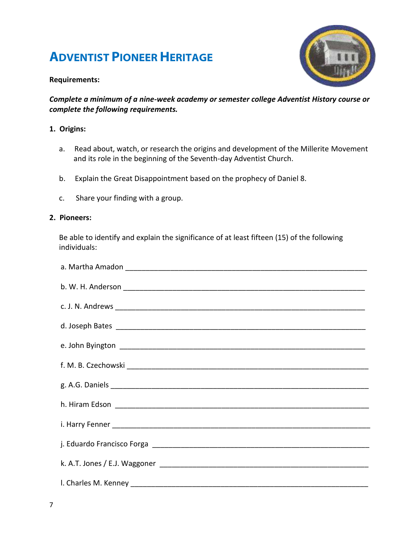# **ADVENTIST PIONEER HERITAGE**



# **Requirements:**

*Complete a minimum of a nine-week academy or semester college Adventist History course or complete the following requirements.*

# **1. Origins:**

- a. Read about, watch, or research the origins and development of the Millerite Movement and its role in the beginning of the Seventh-day Adventist Church.
- b. Explain the Great Disappointment based on the prophecy of Daniel 8.
- c. Share your finding with a group.

#### **2. Pioneers:**

Be able to identify and explain the significance of at least fifteen (15) of the following individuals:

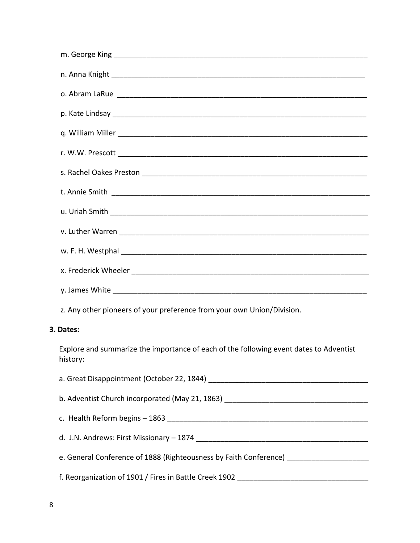| z. Any other pioneers of your preference from your own Union/Division.                             |
|----------------------------------------------------------------------------------------------------|
| 3. Dates:                                                                                          |
| Explore and summarize the importance of each of the following event dates to Adventist<br>history: |
|                                                                                                    |
|                                                                                                    |
|                                                                                                    |
|                                                                                                    |
| e. General Conference of 1888 (Righteousness by Faith Conference) _____________________            |
|                                                                                                    |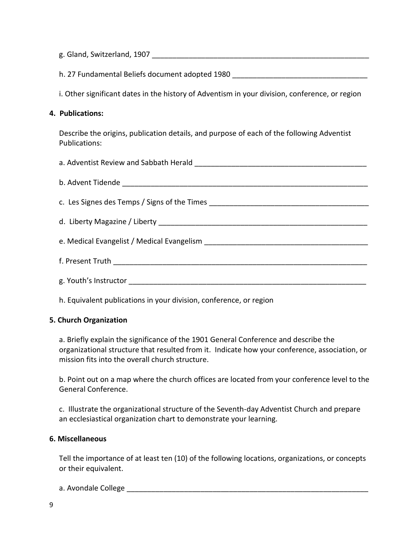| h. 27 Fundamental Beliefs document adopted 1980 ________________________________                                  |
|-------------------------------------------------------------------------------------------------------------------|
| i. Other significant dates in the history of Adventism in your division, conference, or region                    |
| 4. Publications:                                                                                                  |
| Describe the origins, publication details, and purpose of each of the following Adventist<br><b>Publications:</b> |
|                                                                                                                   |
|                                                                                                                   |
|                                                                                                                   |
|                                                                                                                   |
|                                                                                                                   |
|                                                                                                                   |
|                                                                                                                   |

h. Equivalent publications in your division, conference, or region

# **5. Church Organization**

a. Briefly explain the significance of the 1901 General Conference and describe the organizational structure that resulted from it. Indicate how your conference, association, or mission fits into the overall church structure.

b. Point out on a map where the church offices are located from your conference level to the General Conference.

c. Illustrate the organizational structure of the Seventh-day Adventist Church and prepare an ecclesiastical organization chart to demonstrate your learning.

#### **6. Miscellaneous**

Tell the importance of at least ten (10) of the following locations, organizations, or concepts or their equivalent.

a. Avondale College \_\_\_\_\_\_\_\_\_\_\_\_\_\_\_\_\_\_\_\_\_\_\_\_\_\_\_\_\_\_\_\_\_\_\_\_\_\_\_\_\_\_\_\_\_\_\_\_\_\_\_\_\_\_\_\_\_\_\_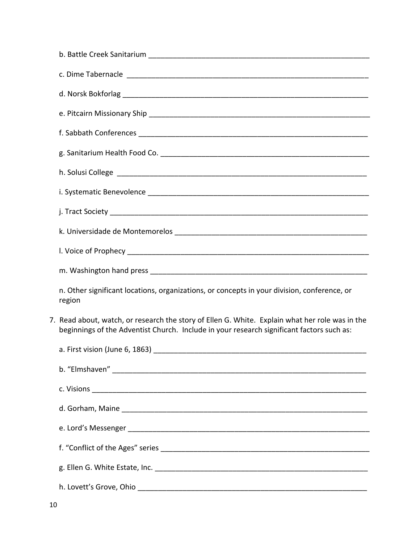| n. Other significant locations, organizations, or concepts in your division, conference, or<br>region                                                                                        |
|----------------------------------------------------------------------------------------------------------------------------------------------------------------------------------------------|
| 7. Read about, watch, or research the story of Ellen G. White. Explain what her role was in the<br>beginnings of the Adventist Church. Include in your research significant factors such as: |
| a. First vision (June 6, 1863) and the state of the state of the state of the state of the state of the state o                                                                              |
|                                                                                                                                                                                              |
|                                                                                                                                                                                              |
|                                                                                                                                                                                              |
|                                                                                                                                                                                              |
|                                                                                                                                                                                              |
|                                                                                                                                                                                              |
|                                                                                                                                                                                              |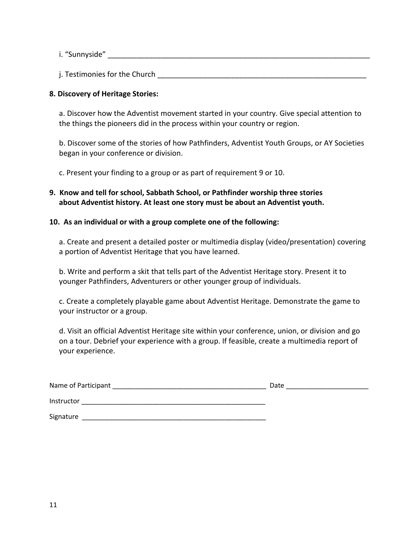i. "Sunnyside" \_\_\_\_\_\_\_\_\_\_\_\_\_\_\_\_\_\_\_\_\_\_\_\_\_\_\_\_\_\_\_\_\_\_\_\_\_\_\_\_\_\_\_\_\_\_\_\_\_\_\_\_\_\_\_\_\_\_\_\_\_\_\_\_

j. Testimonies for the Church **Example 2018** 

#### **8. Discovery of Heritage Stories:**

a. Discover how the Adventist movement started in your country. Give special attention to the things the pioneers did in the process within your country or region.

b. Discover some of the stories of how Pathfinders, Adventist Youth Groups, or AY Societies began in your conference or division.

c. Present your finding to a group or as part of requirement 9 or 10.

**9. Know and tell for school, Sabbath School, or Pathfinder worship three stories about Adventist history. At least one story must be about an Adventist youth.** 

#### **10. As an individual or with a group complete one of the following:**

a. Create and present a detailed poster or multimedia display (video/presentation) covering a portion of Adventist Heritage that you have learned.

b. Write and perform a skit that tells part of the Adventist Heritage story. Present it to younger Pathfinders, Adventurers or other younger group of individuals.

c. Create a completely playable game about Adventist Heritage. Demonstrate the game to your instructor or a group.

d. Visit an official Adventist Heritage site within your conference, union, or division and go on a tour. Debrief your experience with a group. If feasible, create a multimedia report of your experience.

| Name of Participant | Date |
|---------------------|------|
| Instructor          |      |
| Signature           |      |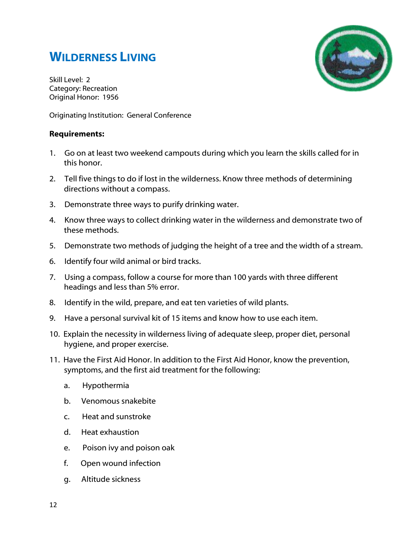# **WILDERNESS LIVING**



Skill Level: 2 Category: Recreation Original Honor: 1956

Originating Institution: General Conference

# **Requirements:**

- 1. Go on at least two weekend campouts during which you learn the skills called for in this honor.
- 2. Tell five things to do if lost in the wilderness. Know three methods of determining directions without a compass.
- 3. Demonstrate three ways to purify drinking water.
- 4. Know three ways to collect drinking water in the wilderness and demonstrate two of these methods.
- 5. Demonstrate two methods of judging the height of a tree and the width of a stream.
- 6. Identify four wild animal or bird tracks.
- 7. Using a compass, follow a course for more than 100 yards with three different headings and less than 5% error.
- 8. Identify in the wild, prepare, and eat ten varieties of wild plants.
- 9. Have a personal survival kit of 15 items and know how to use each item.
- 10. Explain the necessity in wilderness living of adequate sleep, proper diet, personal hygiene, and proper exercise.
- 11. Have the First Aid Honor. In addition to the First Aid Honor, know the prevention, symptoms, and the first aid treatment for the following:
	- a. Hypothermia
	- b. Venomous snakebite
	- c. Heat and sunstroke
	- d. Heat exhaustion
	- e. Poison ivy and poison oak
	- f. Open wound infection
	- g. Altitude sickness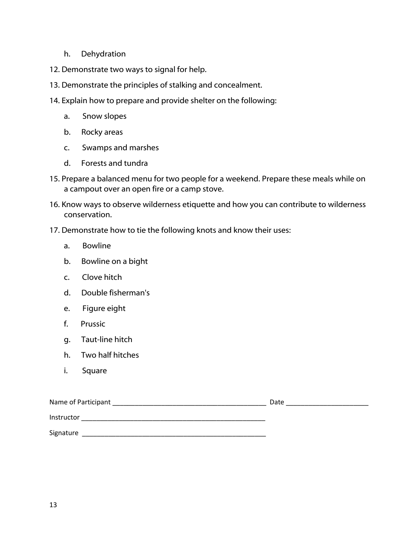- h. Dehydration
- 12. Demonstrate two ways to signal for help.
- 13. Demonstrate the principles of stalking and concealment.
- 14. Explain how to prepare and provide shelter on the following:
	- a. Snow slopes
	- b. Rocky areas
	- c. Swamps and marshes
	- d. Forests and tundra
- 15. Prepare a balanced menu for two people for a weekend. Prepare these meals while on a campout over an open fire or a camp stove.
- 16. Know ways to observe wilderness etiquette and how you can contribute to wilderness conservation.
- 17. Demonstrate how to tie the following knots and know their uses:
	- a. Bowline
	- b. Bowline on a bight
	- c. Clove hitch
	- d. Double fisherman's
	- e. Figure eight
	- f. Prussic
	- g. Taut-line hitch
	- h. Two half hitches
	- i. Square

| Name of Participant | Date |
|---------------------|------|
| Instructor          |      |
| Signature           |      |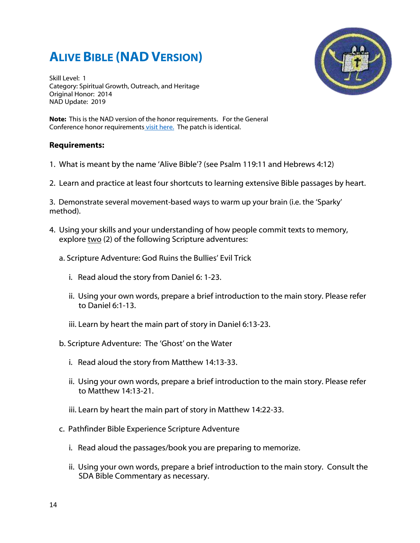# **ALIVE BIBLE (NAD VERSION)**

Skill Level: 1 Category: Spiritual Growth, Outreach, and Heritage Original Honor: 2014 NAD Update: 2019



**Note:** This is the NAD version of the honor requirements. For the General Conference honor requirement[s visit here.](http://youth.adventist.org/Ministries/Pathfinders/Honors/agentType/View/HonorID/1196/Family-Life) The patch is identical.

#### **Requirements:**

1. What is meant by the name 'Alive Bible'? (see Psalm 119:11 and Hebrews 4:12)

2. Learn and practice at least four shortcuts to learning extensive Bible passages by heart.

3. Demonstrate several movement-based ways to warm up your brain (i.e. the 'Sparky' method).

- 4. Using your skills and your understanding of how people commit texts to memory, explore two (2) of the following Scripture adventures:
	- a. Scripture Adventure: God Ruins the Bullies' Evil Trick
		- i. Read aloud the story from Daniel 6: 1-23.
		- ii. Using your own words, prepare a brief introduction to the main story. Please refer to Daniel 6:1-13.
		- iii. Learn by heart the main part of story in Daniel 6:13-23.
	- b. Scripture Adventure: The 'Ghost' on the Water
		- i. Read aloud the story from Matthew 14:13-33.
		- ii. Using your own words, prepare a brief introduction to the main story. Please refer to Matthew 14:13-21.
		- iii. Learn by heart the main part of story in Matthew 14:22-33.
	- c. Pathfinder Bible Experience Scripture Adventure
		- i. Read aloud the passages/book you are preparing to memorize.
		- ii. Using your own words, prepare a brief introduction to the main story. Consult the SDA Bible Commentary as necessary.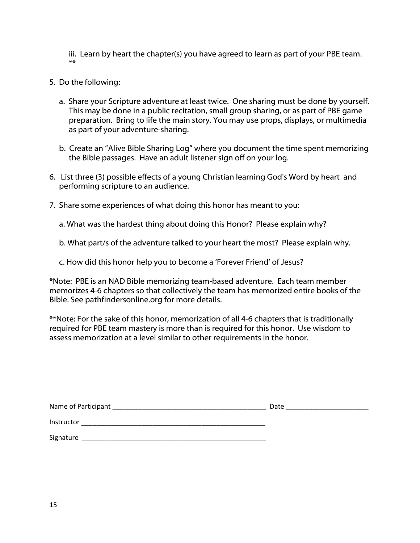iii. Learn by heart the chapter(s) you have agreed to learn as part of your PBE team. \*\*

- 5. Do the following:
	- a. Share your Scripture adventure at least twice. One sharing must be done by yourself. This may be done in a public recitation, small group sharing, or as part of PBE game preparation. Bring to life the main story. You may use props, displays, or multimedia as part of your adventure-sharing.
	- b. Create an "Alive Bible Sharing Log" where you document the time spent memorizing the Bible passages. Have an adult listener sign off on your log.
- 6. List three (3) possible effects of a young Christian learning God's Word by heart and performing scripture to an audience.
- 7. Share some experiences of what doing this honor has meant to you:

a. What was the hardest thing about doing this Honor? Please explain why?

b. What part/s of the adventure talked to your heart the most? Please explain why.

c. How did this honor help you to become a 'Forever Friend' of Jesus?

\*Note: PBE is an NAD Bible memorizing team-based adventure. Each team member memorizes 4-6 chapters so that collectively the team has memorized entire books of the Bible. See pathfindersonline.org for more details.

\*\*Note: For the sake of this honor, memorization of all 4-6 chapters that is traditionally required for PBE team mastery is more than is required for this honor. Use wisdom to assess memorization at a level similar to other requirements in the honor.

| Name of Participant | Date |
|---------------------|------|
| Instructor          |      |
| Signature           |      |